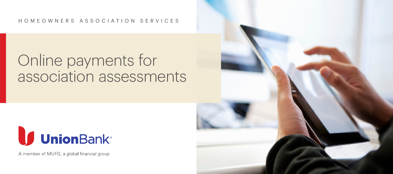#### HOMEOWNERS ASSOCIATION SERVICES

# Online payments for association assessments



A member of MUFG, a global financial group